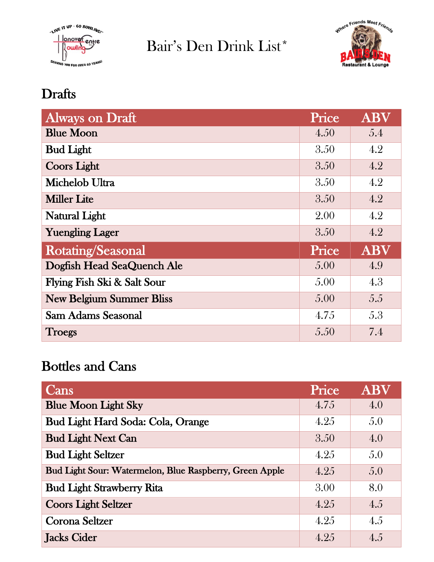

Bair's Den Drink List\*



## **Drafts**

| <b>Always on Draft</b>          | Price | <b>ABV</b> |
|---------------------------------|-------|------------|
| <b>Blue Moon</b>                | 4.50  | 5.4        |
| <b>Bud Light</b>                | 3.50  | 4.2        |
| <b>Coors Light</b>              | 3.50  | 4.2        |
| Michelob Ultra                  | 3.50  | 4.2        |
| <b>Miller Lite</b>              | 3.50  | 4.2        |
| <b>Natural Light</b>            | 2.00  | 4.2        |
| <b>Yuengling Lager</b>          | 3.50  | 4.2        |
| Rotating/Seasonal               | Price | <b>ABV</b> |
| Dogfish Head SeaQuench Ale      | 5.00  | 4.9        |
| Flying Fish Ski & Salt Sour     | 5.00  | 4.3        |
| <b>New Belgium Summer Bliss</b> | 5.00  | 5.5        |
| Sam Adams Seasonal              | 4.75  | 5.3        |
| <b>Troegs</b>                   | 5.50  | 7.4        |

## Bottles and Cans

| Cans                                                    | Price | <b>ABV</b> |
|---------------------------------------------------------|-------|------------|
| <b>Blue Moon Light Sky</b>                              | 4.75  | 4.0        |
| Bud Light Hard Soda: Cola, Orange                       | 4.25  | 5.0        |
| <b>Bud Light Next Can</b>                               | 3.50  | 4.0        |
| <b>Bud Light Seltzer</b>                                | 4.25  | 5.0        |
| Bud Light Sour: Watermelon, Blue Raspberry, Green Apple | 4.25  | 5.0        |
| <b>Bud Light Strawberry Rita</b>                        | 3.00  | 8.0        |
| <b>Coors Light Seltzer</b>                              | 4.25  | 4.5        |
| Corona Seltzer                                          | 4.25  | 4.5        |
| Jacks Cider                                             | 4.25  | 4.5        |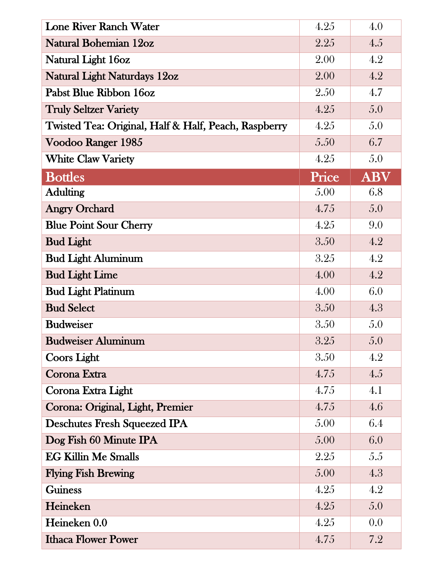| <b>Lone River Ranch Water</b>                        | 4.25  | 4.0        |
|------------------------------------------------------|-------|------------|
| <b>Natural Bohemian 12oz</b>                         | 2.25  | 4.5        |
| Natural Light 16oz                                   | 2.00  | 4.2        |
| <b>Natural Light Naturdays 12oz</b>                  | 2.00  | 4.2        |
| Pabst Blue Ribbon 16oz                               | 2.50  | 4.7        |
| <b>Truly Seltzer Variety</b>                         | 4.25  | 5.0        |
| Twisted Tea: Original, Half & Half, Peach, Raspberry | 4.25  | 5.0        |
| Voodoo Ranger 1985                                   | 5.50  | 6.7        |
| <b>White Claw Variety</b>                            | 4.25  | 5.0        |
| <b>Bottles</b>                                       | Price | <b>ABV</b> |
| <b>Adulting</b>                                      | 5.00  | 6.8        |
| <b>Angry Orchard</b>                                 | 4.75  | 5.0        |
| <b>Blue Point Sour Cherry</b>                        | 4.25  | 9.0        |
| <b>Bud Light</b>                                     | 3.50  | 4.2        |
| <b>Bud Light Aluminum</b>                            | 3.25  | 4.2        |
| <b>Bud Light Lime</b>                                | 4.00  | 4.2        |
| <b>Bud Light Platinum</b>                            | 4.00  | 6.0        |
| <b>Bud Select</b>                                    | 3.50  | 4.3        |
| <b>Budweiser</b>                                     | 3.50  | 5.0        |
| <b>Budweiser Aluminum</b>                            | 3.25  | 5.0        |
| Coors Light                                          | 3.50  | 4.2        |
| Corona Extra                                         | 4.75  | 4.5        |
| Corona Extra Light                                   | 4.75  | 4.1        |
| Corona: Original, Light, Premier                     | 4.75  | 4.6        |
| <b>Deschutes Fresh Squeezed IPA</b>                  | 5.00  | 6.4        |
| Dog Fish 60 Minute IPA                               | 5.00  | 6.0        |
| <b>EG Killin Me Smalls</b>                           | 2.25  | 5.5        |
| <b>Flying Fish Brewing</b>                           | 5.00  | 4.3        |
| <b>Guiness</b>                                       | 4.25  | 4.2        |
| Heineken                                             | 4.25  | 5.0        |
| Heineken 0.0                                         | 4.25  | 0.0        |
| <b>Ithaca Flower Power</b>                           | 4.75  | 7.2        |